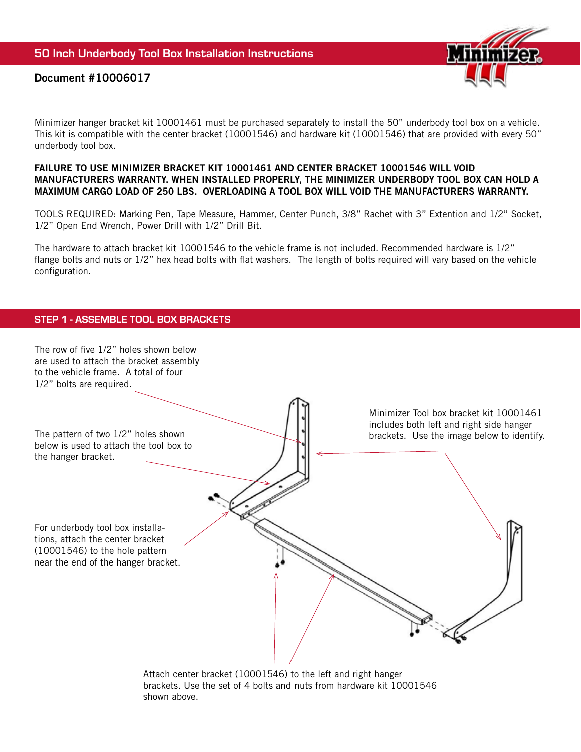

# Document #10006017

Minimizer hanger bracket kit 10001461 must be purchased separately to install the 50" underbody tool box on a vehicle. This kit is compatible with the center bracket (10001546) and hardware kit (10001546) that are provided with every 50" underbody tool box.

#### FAILURE TO USE MINIMIZER BRACKET KIT 10001461 AND CENTER BRACKET 10001546 WILL VOID MANUFACTURERS WARRANTY. WHEN INSTALLED PROPERLY, THE MINIMIZER UNDERBODY TOOL BOX CAN HOLD A MAXIMUM CARGO LOAD OF 250 LBS. OVERLOADING A TOOL BOX WILL VOID THE MANUFACTURERS WARRANTY.

TOOLS REQUIRED: Marking Pen, Tape Measure, Hammer, Center Punch, 3/8" Rachet with 3" Extention and 1/2" Socket, 1/2" Open End Wrench, Power Drill with 1/2" Drill Bit.

The hardware to attach bracket kit 10001546 to the vehicle frame is not included. Recommended hardware is 1/2" flange bolts and nuts or 1/2" hex head bolts with flat washers. The length of bolts required will vary based on the vehicle configuration.

# STEP 1 - ASSEMBLE TOOL BOX BRACKETS



brackets. Use the set of 4 bolts and nuts from hardware kit 10001546 shown above.